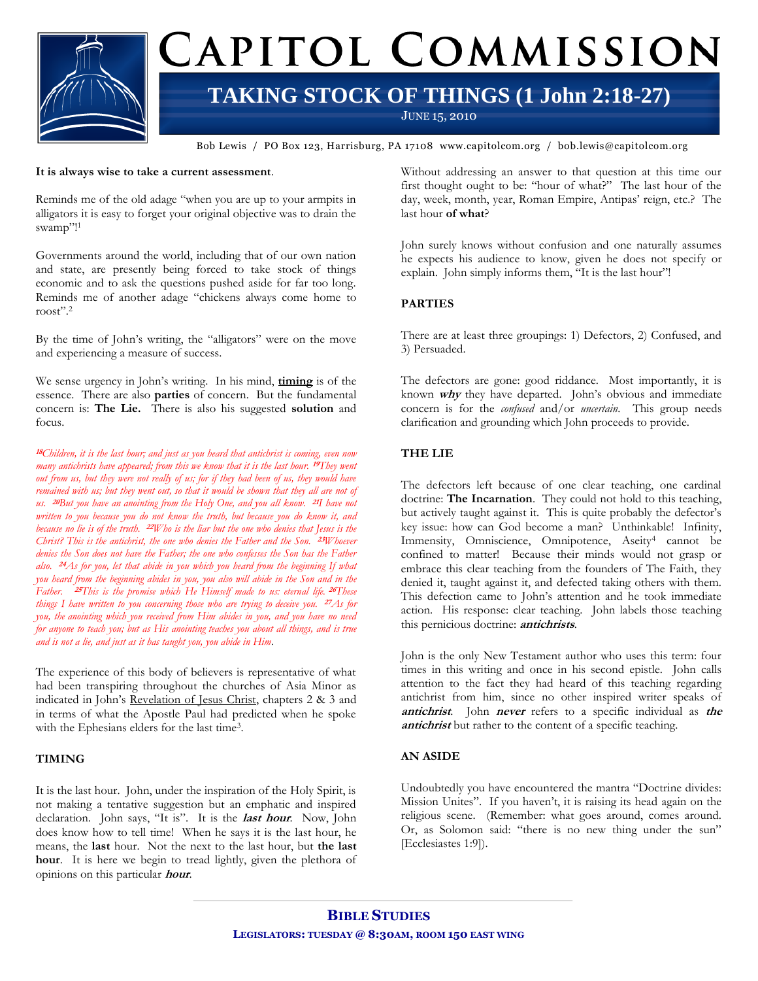

Bob Lewis / PO Box 123, Harrisburg, PA 17108 www.capitolcom.org / bob.lewis@capitolcom.org

#### **It is always wise to take a current assessment**.

Reminds me of the old adage "when you are up to your armpits in alligators it is easy to forget your original objective was to drain the swamp"!<sup>1</sup>

Governments around the world, including that of our own nation and state, are presently being forced to take stock of things economic and to ask the questions pushed aside for far too long. Reminds me of another adage "chickens always come home to roost".<sup>2</sup>

By the time of John"s writing, the "alligators" were on the move and experiencing a measure of success.

We sense urgency in John"s writing. In his mind, **timing** is of the essence. There are also **parties** of concern. But the fundamental concern is: **The Lie.** There is also his suggested **solution** and focus.

**<sup>18</sup>***Children, it is the last hour; and just as you heard that antichrist is coming, even now many antichrists have appeared; from this we know that it is the last hour.* **<sup>19</sup>***They went out from us, but they were not really of us; for if they had been of us, they would have remained with us; but they went out, so that it would be shown that they all are not of us.* **20***But you have an anointing from the Holy One, and you all know.* **21***I have not written to you because you do not know the truth, but because you do know it, and because no lie is of the truth.* **22***Who is the liar but the one who denies that Jesus is the Christ? This is the antichrist, the one who denies the Father and the Son.* **23***Whoever denies the Son does not have the Father; the one who confesses the Son has the Father also.* **24***As for you, let that abide in you which you heard from the beginning If what you heard from the beginning abides in you, you also will abide in the Son and in the Father.* **25***This is the promise which He Himself made to us: eternal life.* **<sup>26</sup>***These things I have written to you concerning those who are trying to deceive you.* **27***As for you, the anointing which you received from Him abides in you, and you have no need for anyone to teach you; but as His anointing teaches you about all things, and is true and is not a lie, and just as it has taught you, you abide in Him.*

The experience of this body of believers is representative of what had been transpiring throughout the churches of Asia Minor as indicated in John"s Revelation of Jesus Christ, chapters 2 & 3 and in terms of what the Apostle Paul had predicted when he spoke with the Ephesians elders for the last time<sup>3</sup>.

### **TIMING**

It is the last hour. John, under the inspiration of the Holy Spirit, is not making a tentative suggestion but an emphatic and inspired declaration. John says, "It is". It is the **last hour**. Now, John does know how to tell time! When he says it is the last hour, he means, the **last** hour. Not the next to the last hour, but **the last hour**. It is here we begin to tread lightly, given the plethora of opinions on this particular **hour**.

Without addressing an answer to that question at this time our first thought ought to be: "hour of what?" The last hour of the day, week, month, year, Roman Empire, Antipas' reign, etc.? The last hour **of what**?

John surely knows without confusion and one naturally assumes he expects his audience to know, given he does not specify or explain. John simply informs them, "It is the last hour"!

### **PARTIES**

There are at least three groupings: 1) Defectors, 2) Confused, and 3) Persuaded.

The defectors are gone: good riddance. Most importantly, it is known **why** they have departed. John"s obvious and immediate concern is for the *confused* and/or *uncertain*. This group needs clarification and grounding which John proceeds to provide.

## **THE LIE**

The defectors left because of one clear teaching, one cardinal doctrine: **The Incarnation**. They could not hold to this teaching, but actively taught against it. This is quite probably the defector's key issue: how can God become a man? Unthinkable! Infinity, Immensity, Omniscience, Omnipotence, Aseity<sup>4</sup> cannot be confined to matter! Because their minds would not grasp or embrace this clear teaching from the founders of The Faith, they denied it, taught against it, and defected taking others with them. This defection came to John's attention and he took immediate action. His response: clear teaching. John labels those teaching this pernicious doctrine: **antichrists**.

John is the only New Testament author who uses this term: four times in this writing and once in his second epistle. John calls attention to the fact they had heard of this teaching regarding antichrist from him, since no other inspired writer speaks of **antichrist**. John **never** refers to a specific individual as **the antichrist** but rather to the content of a specific teaching.

### **AN ASIDE**

Undoubtedly you have encountered the mantra "Doctrine divides: Mission Unites". If you haven't, it is raising its head again on the religious scene. (Remember: what goes around, comes around. Or, as Solomon said: "there is no new thing under the sun" [Ecclesiastes 1:9]).